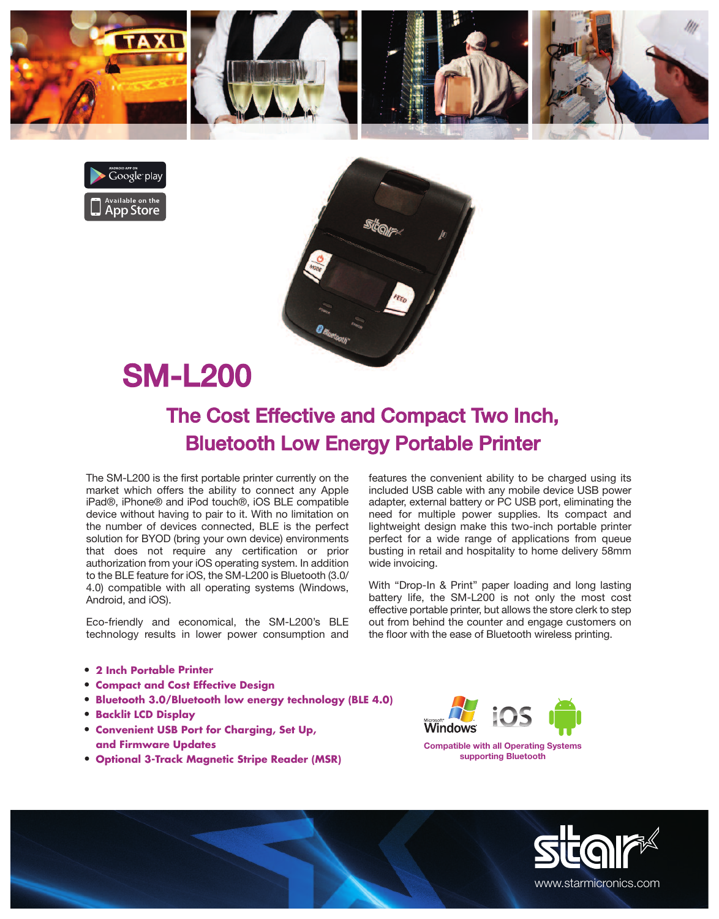





## SM-L200

## The Cost Effective and Compact Two Inch, Bluetooth Low Energy Portable Printer

The SM-L200 is the first portable printer currently on the market which offers the ability to connect any Apple iPad®, iPhone® and iPod touch®, iOS BLE compatible device without having to pair to it. With no limitation on the number of devices connected, BLE is the perfect solution for BYOD (bring your own device) environments that does not require any certification or prior authorization from your iOS operating system. In addition to the BLE feature for iOS, the SM-L200 is Bluetooth (3.0/ 4.0) compatible with all operating systems (Windows, Android, and iOS).

Eco-friendly and economical, the SM-L200's BLE technology results in lower power consumption and

- **• 2 Inch Portable Printer**
- **• Compact and Cost Effective Design**
- **• Bluetooth 3.0/Bluetooth low energy technology (BLE 4.0)**
- **• Backlit LCD Display**
- **• Convenient USB Port for Charging, Set Up, and Firmware Updates**
- **• Optional 3-Track Magnetic Stripe Reader (MSR)**

features the convenient ability to be charged using its included USB cable with any mobile device USB power adapter, external battery or PC USB port, eliminating the need for multiple power supplies. Its compact and lightweight design make this two-inch portable printer perfect for a wide range of applications from queue busting in retail and hospitality to home delivery 58mm wide invoicing.

With "Drop-In & Print" paper loading and long lasting battery life, the SM-L200 is not only the most cost effective portable printer, but allows the store clerk to step out from behind the counter and engage customers on the floor with the ease of Bluetooth wireless printing.



**Compatible with all Operating Systems supporting Bluetooth**